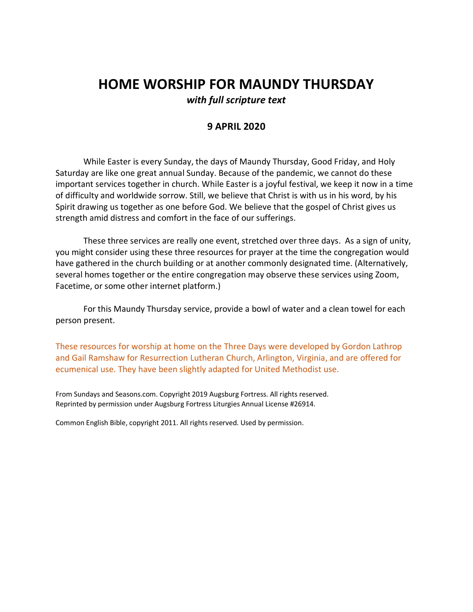# **HOME WORSHIP FOR MAUNDY THURSDAY** *with full scripture text*

## **9 APRIL 2020**

While Easter is every Sunday, the days of Maundy Thursday, Good Friday, and Holy Saturday are like one great annual Sunday. Because of the pandemic, we cannot do these important services together in church. While Easter is a joyful festival, we keep it now in a time of difficulty and worldwide sorrow. Still, we believe that Christ is with us in his word, by his Spirit drawing us together as one before God. We believe that the gospel of Christ gives us strength amid distress and comfort in the face of our sufferings.

These three services are really one event, stretched over three days. As a sign of unity, you might consider using these three resources for prayer at the time the congregation would have gathered in the church building or at another commonly designated time. (Alternatively, several homes together or the entire congregation may observe these services using Zoom, Facetime, or some other internet platform.)

For this Maundy Thursday service, provide a bowl of water and a clean towel for each person present.

These resources for worship at home on the Three Days were developed by Gordon Lathrop and Gail Ramshaw for Resurrection Lutheran Church, Arlington, Virginia, and are offered for ecumenical use. They have been slightly adapted for United Methodist use.

From Sundays and Seasons.com. Copyright 2019 Augsburg Fortress. All rights reserved. Reprinted by permission under Augsburg Fortress Liturgies Annual License #26914.

Common English Bible, copyright 2011. All rights reserved. Used by permission.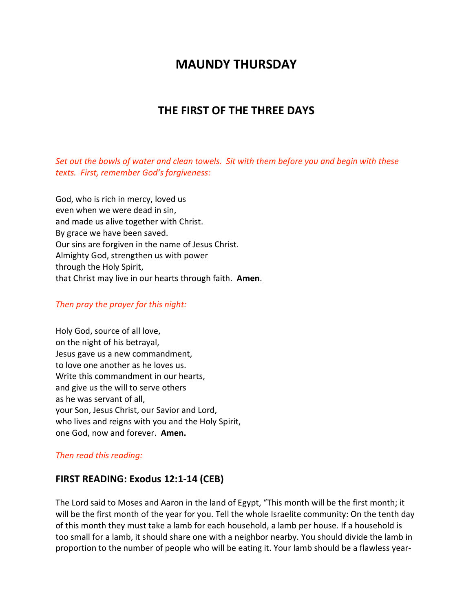# **MAUNDY THURSDAY**

# **THE FIRST OF THE THREE DAYS**

*Set out the bowls of water and clean towels. Sit with them before you and begin with these texts. First, remember God's forgiveness:*

God, who is rich in mercy, loved us even when we were dead in sin, and made us alive together with Christ. By grace we have been saved. Our sins are forgiven in the name of Jesus Christ. Almighty God, strengthen us with power through the Holy Spirit, that Christ may live in our hearts through faith. **Amen**.

#### *Then pray the prayer for this night:*

Holy God, source of all love, on the night of his betrayal, Jesus gave us a new commandment, to love one another as he loves us. Write this commandment in our hearts, and give us the will to serve others as he was servant of all, your Son, Jesus Christ, our Savior and Lord, who lives and reigns with you and the Holy Spirit, one God, now and forever. **Amen.**

## *Then read this reading:*

## **FIRST READING: Exodus 12:1-14 (CEB)**

The Lord said to Moses and Aaron in the land of Egypt, "This month will be the first month; it will be the first month of the year for you. Tell the whole Israelite community: On the tenth day of this month they must take a lamb for each household, a lamb per house. If a household is too small for a lamb, it should share one with a neighbor nearby. You should divide the lamb in proportion to the number of people who will be eating it. Your lamb should be a flawless year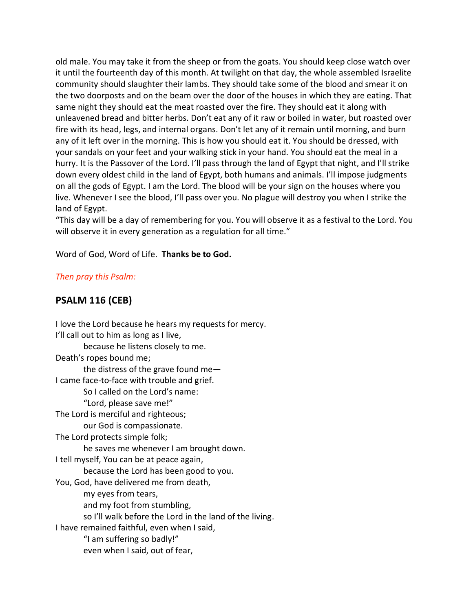old male. You may take it from the sheep or from the goats. You should keep close watch over it until the fourteenth day of this month. At twilight on that day, the whole assembled Israelite community should slaughter their lambs. They should take some of the blood and smear it on the two doorposts and on the beam over the door of the houses in which they are eating. That same night they should eat the meat roasted over the fire. They should eat it along with unleavened bread and bitter herbs. Don't eat any of it raw or boiled in water, but roasted over fire with its head, legs, and internal organs. Don't let any of it remain until morning, and burn any of it left over in the morning. This is how you should eat it. You should be dressed, with your sandals on your feet and your walking stick in your hand. You should eat the meal in a hurry. It is the Passover of the Lord. I'll pass through the land of Egypt that night, and I'll strike down every oldest child in the land of Egypt, both humans and animals. I'll impose judgments on all the gods of Egypt. I am the Lord. The blood will be your sign on the houses where you live. Whenever I see the blood, I'll pass over you. No plague will destroy you when I strike the land of Egypt.

"This day will be a day of remembering for you. You will observe it as a festival to the Lord. You will observe it in every generation as a regulation for all time."

## Word of God, Word of Life. **Thanks be to God.**

## *Then pray this Psalm:*

## **PSALM 116 (CEB)**

I love the Lord because he hears my requests for mercy. I'll call out to him as long as I live, because he listens closely to me. Death's ropes bound me; the distress of the grave found me— I came face-to-face with trouble and grief. So I called on the Lord's name: "Lord, please save me!" The Lord is merciful and righteous; our God is compassionate. The Lord protects simple folk; he saves me whenever I am brought down. I tell myself, You can be at peace again, because the Lord has been good to you. You, God, have delivered me from death, my eyes from tears, and my foot from stumbling, so I'll walk before the Lord in the land of the living. I have remained faithful, even when I said, "I am suffering so badly!" even when I said, out of fear,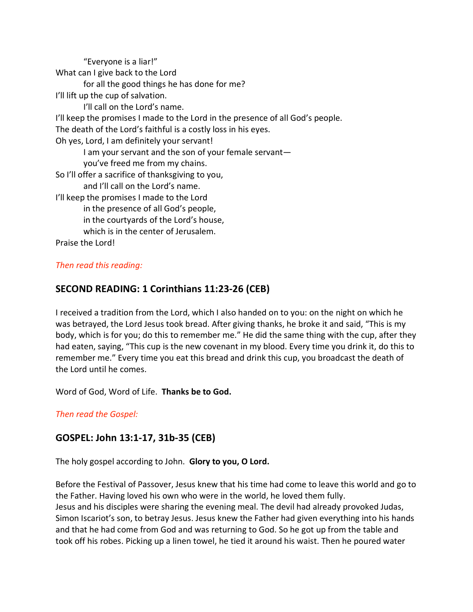"Everyone is a liar!" What can I give back to the Lord for all the good things he has done for me? I'll lift up the cup of salvation. I'll call on the Lord's name. I'll keep the promises I made to the Lord in the presence of all God's people. The death of the Lord's faithful is a costly loss in his eyes. Oh yes, Lord, I am definitely your servant! I am your servant and the son of your female servant you've freed me from my chains. So I'll offer a sacrifice of thanksgiving to you, and I'll call on the Lord's name. I'll keep the promises I made to the Lord in the presence of all God's people, in the courtyards of the Lord's house, which is in the center of Jerusalem. Praise the Lord!

## *Then read this reading:*

## **SECOND READING: 1 Corinthians 11:23-26 (CEB)**

I received a tradition from the Lord, which I also handed on to you: on the night on which he was betrayed, the Lord Jesus took bread. After giving thanks, he broke it and said, "This is my body, which is for you; do this to remember me." He did the same thing with the cup, after they had eaten, saying, "This cup is the new covenant in my blood. Every time you drink it, do this to remember me." Every time you eat this bread and drink this cup, you broadcast the death of the Lord until he comes.

Word of God, Word of Life. **Thanks be to God.**

## *Then read the Gospel:*

## **GOSPEL: John 13:1-17, 31b-35 (CEB)**

The holy gospel according to John. **Glory to you, O Lord.**

Before the Festival of Passover, Jesus knew that his time had come to leave this world and go to the Father. Having loved his own who were in the world, he loved them fully. Jesus and his disciples were sharing the evening meal. The devil had already provoked Judas, Simon Iscariot's son, to betray Jesus. Jesus knew the Father had given everything into his hands and that he had come from God and was returning to God. So he got up from the table and took off his robes. Picking up a linen towel, he tied it around his waist. Then he poured water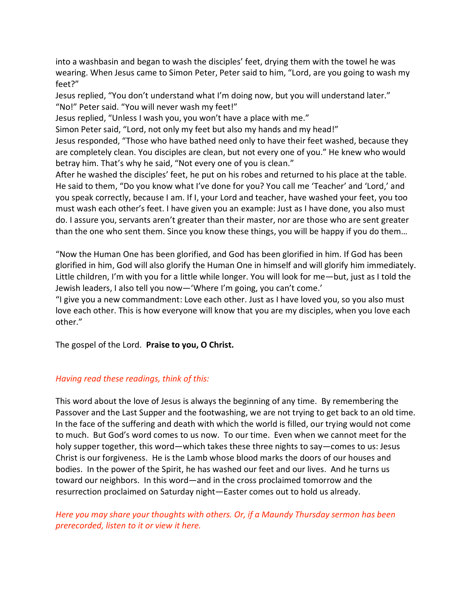into a washbasin and began to wash the disciples' feet, drying them with the towel he was wearing. When Jesus came to Simon Peter, Peter said to him, "Lord, are you going to wash my feet?"

Jesus replied, "You don't understand what I'm doing now, but you will understand later." "No!" Peter said. "You will never wash my feet!"

Jesus replied, "Unless I wash you, you won't have a place with me."

Simon Peter said, "Lord, not only my feet but also my hands and my head!"

Jesus responded, "Those who have bathed need only to have their feet washed, because they are completely clean. You disciples are clean, but not every one of you." He knew who would betray him. That's why he said, "Not every one of you is clean."

After he washed the disciples' feet, he put on his robes and returned to his place at the table. He said to them, "Do you know what I've done for you? You call me 'Teacher' and 'Lord,' and you speak correctly, because I am. If I, your Lord and teacher, have washed your feet, you too must wash each other's feet. I have given you an example: Just as I have done, you also must do. I assure you, servants aren't greater than their master, nor are those who are sent greater than the one who sent them. Since you know these things, you will be happy if you do them…

"Now the Human One has been glorified, and God has been glorified in him. If God has been glorified in him, God will also glorify the Human One in himself and will glorify him immediately. Little children, I'm with you for a little while longer. You will look for me—but, just as I told the Jewish leaders, I also tell you now—'Where I'm going, you can't come.'

"I give you a new commandment: Love each other. Just as I have loved you, so you also must love each other. This is how everyone will know that you are my disciples, when you love each other."

The gospel of the Lord. **Praise to you, O Christ.**

## *Having read these readings, think of this:*

This word about the love of Jesus is always the beginning of any time. By remembering the Passover and the Last Supper and the footwashing, we are not trying to get back to an old time. In the face of the suffering and death with which the world is filled, our trying would not come to much. But God's word comes to us now. To our time. Even when we cannot meet for the holy supper together, this word—which takes these three nights to say—comes to us: Jesus Christ is our forgiveness. He is the Lamb whose blood marks the doors of our houses and bodies. In the power of the Spirit, he has washed our feet and our lives. And he turns us toward our neighbors. In this word—and in the cross proclaimed tomorrow and the resurrection proclaimed on Saturday night—Easter comes out to hold us already.

## *Here you may share your thoughts with others. Or, if a Maundy Thursday sermon has been prerecorded, listen to it or view it here.*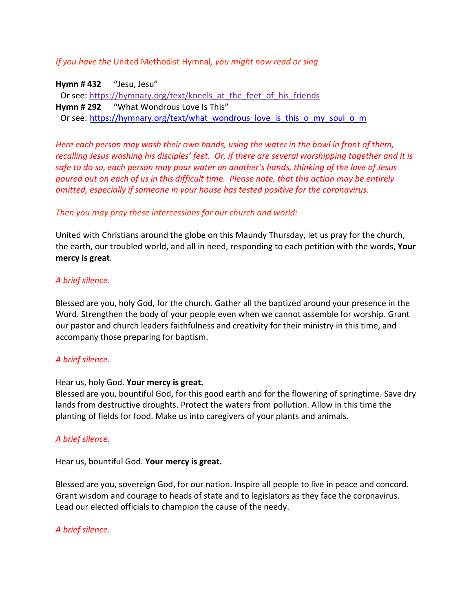## *If you have the* United Methodist Hymnal*, you might now read or sing*

**Hymn # 432** "Jesu, Jesu" Or see: [https://hymnary.org/text/kneels\\_at\\_the\\_feet\\_of\\_his\\_friends](https://hymnary.org/text/kneels_at_the_feet_of_his_friends) **Hymn # 292** "What Wondrous Love Is This" Or see: [https://hymnary.org/text/what\\_wondrous\\_love\\_is\\_this\\_o\\_my\\_soul\\_o\\_m](https://hymnary.org/text/what_wondrous_love_is_this_o_my_soul_o_m)

*Here each person may wash their own hands, using the water in the bowl in front of them, recalling Jesus washing his disciples' feet. Or, if there are several worshipping together and it is safe to do so, each person may pour water on another's hands, thinking of the love of Jesus poured out on each of us in this difficult time. Please note, that this action may be entirely omitted, especially if someone in your house has tested positive for the coronavirus.*

## *Then you may pray these intercessions for our church and world:*

United with Christians around the globe on this Maundy Thursday, let us pray for the church, the earth, our troubled world, and all in need, responding to each petition with the words, **Your mercy is great**.

## *A brief silence.*

Blessed are you, holy God, for the church. Gather all the baptized around your presence in the Word. Strengthen the body of your people even when we cannot assemble for worship. Grant our pastor and church leaders faithfulness and creativity for their ministry in this time, and accompany those preparing for baptism.

## *A brief silence.*

Hear us, holy God. **Your mercy is great.**

Blessed are you, bountiful God, for this good earth and for the flowering of springtime. Save dry lands from destructive droughts. Protect the waters from pollution. Allow in this time the planting of fields for food. Make us into caregivers of your plants and animals.

## *A brief silence.*

Hear us, bountiful God. **Your mercy is great.**

Blessed are you, sovereign God, for our nation. Inspire all people to live in peace and concord. Grant wisdom and courage to heads of state and to legislators as they face the coronavirus. Lead our elected officials to champion the cause of the needy.

## *A brief silence.*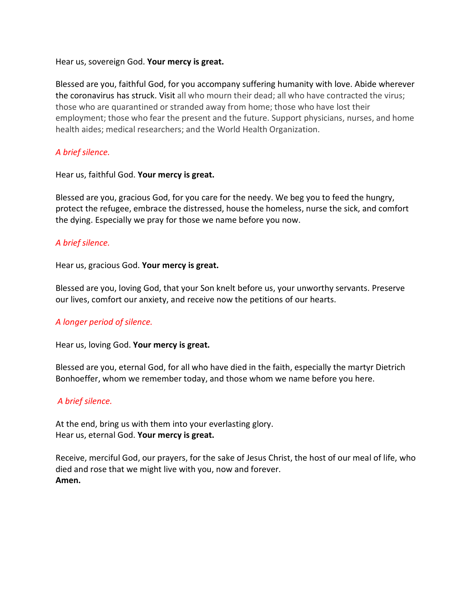Hear us, sovereign God. **Your mercy is great.**

Blessed are you, faithful God, for you accompany suffering humanity with love. Abide wherever the coronavirus has struck. Visit all who mourn their dead; all who have contracted the virus; those who are quarantined or stranded away from home; those who have lost their employment; those who fear the present and the future. Support physicians, nurses, and home health aides; medical researchers; and the World Health Organization.

## *A brief silence.*

Hear us, faithful God. **Your mercy is great.**

Blessed are you, gracious God, for you care for the needy. We beg you to feed the hungry, protect the refugee, embrace the distressed, house the homeless, nurse the sick, and comfort the dying. Especially we pray for those we name before you now.

## *A brief silence.*

Hear us, gracious God. **Your mercy is great.**

Blessed are you, loving God, that your Son knelt before us, your unworthy servants. Preserve our lives, comfort our anxiety, and receive now the petitions of our hearts.

## *A longer period of silence.*

Hear us, loving God. **Your mercy is great.**

Blessed are you, eternal God, for all who have died in the faith, especially the martyr Dietrich Bonhoeffer, whom we remember today, and those whom we name before you here.

## *A brief silence.*

At the end, bring us with them into your everlasting glory. Hear us, eternal God. **Your mercy is great.**

Receive, merciful God, our prayers, for the sake of Jesus Christ, the host of our meal of life, who died and rose that we might live with you, now and forever. **Amen.**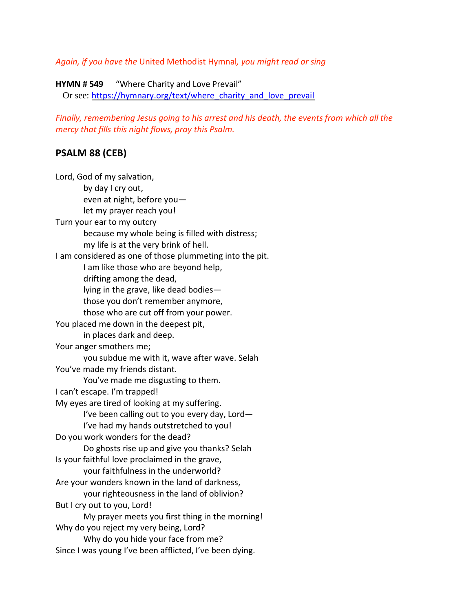*Again, if you have the* United Methodist Hymnal*, you might read or sing*

**HYMN # 549** "Where Charity and Love Prevail"

Or see: [https://hymnary.org/text/where\\_charity\\_and\\_love\\_prevail](https://hymnary.org/text/where_charity_and_love_prevail)

*Finally, remembering Jesus going to his arrest and his death, the events from which all the mercy that fills this night flows, pray this Psalm.*

## **PSALM 88 (CEB)**

Lord, God of my salvation, by day I cry out, even at night, before you let my prayer reach you! Turn your ear to my outcry because my whole being is filled with distress; my life is at the very brink of hell. I am considered as one of those plummeting into the pit. I am like those who are beyond help, drifting among the dead, lying in the grave, like dead bodies those you don't remember anymore, those who are cut off from your power. You placed me down in the deepest pit, in places dark and deep. Your anger smothers me; you subdue me with it, wave after wave. Selah You've made my friends distant. You've made me disgusting to them. I can't escape. I'm trapped! My eyes are tired of looking at my suffering. I've been calling out to you every day, Lord— I've had my hands outstretched to you! Do you work wonders for the dead? Do ghosts rise up and give you thanks? Selah Is your faithful love proclaimed in the grave, your faithfulness in the underworld? Are your wonders known in the land of darkness, your righteousness in the land of oblivion? But I cry out to you, Lord! My prayer meets you first thing in the morning! Why do you reject my very being, Lord? Why do you hide your face from me? Since I was young I've been afflicted, I've been dying.